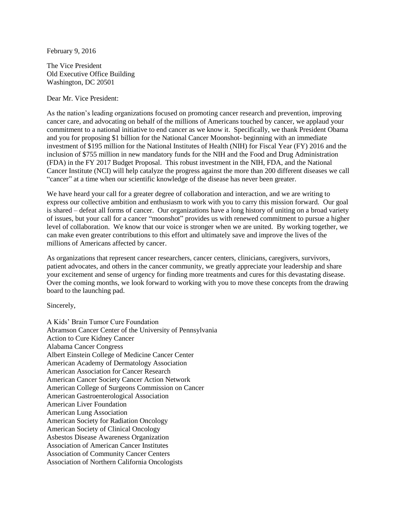February 9, 2016

The Vice President Old Executive Office Building Washington, DC 20501

Dear Mr. Vice President:

As the nation's leading organizations focused on promoting cancer research and prevention, improving cancer care, and advocating on behalf of the millions of Americans touched by cancer, we applaud your commitment to a national initiative to end cancer as we know it. Specifically, we thank President Obama and you for proposing \$1 billion for the National Cancer Moonshot- beginning with an immediate investment of \$195 million for the National Institutes of Health (NIH) for Fiscal Year (FY) 2016 and the inclusion of \$755 million in new mandatory funds for the NIH and the Food and Drug Administration (FDA) in the FY 2017 Budget Proposal. This robust investment in the NIH, FDA, and the National Cancer Institute (NCI) will help catalyze the progress against the more than 200 different diseases we call "cancer" at a time when our scientific knowledge of the disease has never been greater.

We have heard your call for a greater degree of collaboration and interaction, and we are writing to express our collective ambition and enthusiasm to work with you to carry this mission forward. Our goal is shared – defeat all forms of cancer. Our organizations have a long history of uniting on a broad variety of issues, but your call for a cancer "moonshot" provides us with renewed commitment to pursue a higher level of collaboration. We know that our voice is stronger when we are united. By working together, we can make even greater contributions to this effort and ultimately save and improve the lives of the millions of Americans affected by cancer.

As organizations that represent cancer researchers, cancer centers, clinicians, caregivers, survivors, patient advocates, and others in the cancer community, we greatly appreciate your leadership and share your excitement and sense of urgency for finding more treatments and cures for this devastating disease. Over the coming months, we look forward to working with you to move these concepts from the drawing board to the launching pad.

Sincerely,

A Kids' Brain Tumor Cure Foundation Abramson Cancer Center of the University of Pennsylvania Action to Cure Kidney Cancer Alabama Cancer Congress Albert Einstein College of Medicine Cancer Center American Academy of Dermatology Association American Association for Cancer Research American Cancer Society Cancer Action Network American College of Surgeons Commission on Cancer American Gastroenterological Association American Liver Foundation American Lung Association American Society for Radiation Oncology American Society of Clinical Oncology Asbestos Disease Awareness Organization Association of American Cancer Institutes Association of Community Cancer Centers Association of Northern California Oncologists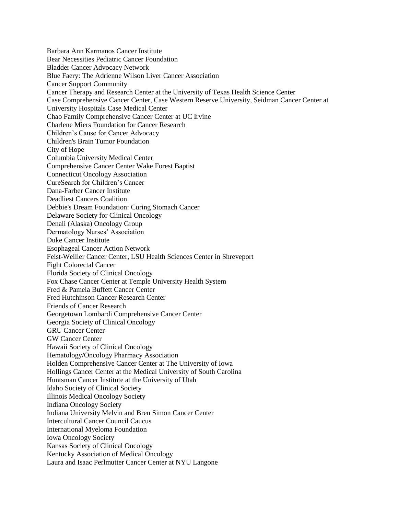Barbara Ann Karmanos Cancer Institute Bear Necessities Pediatric Cancer Foundation Bladder Cancer Advocacy Network Blue Faery: The Adrienne Wilson Liver Cancer Association Cancer Support Community Cancer Therapy and Research Center at the University of Texas Health Science Center Case Comprehensive Cancer Center, Case Western Reserve University, Seidman Cancer Center at University Hospitals Case Medical Center Chao Family Comprehensive Cancer Center at UC Irvine Charlene Miers Foundation for Cancer Research Children's Cause for Cancer Advocacy Children's Brain Tumor Foundation City of Hope Columbia University Medical Center Comprehensive Cancer Center Wake Forest Baptist Connecticut Oncology Association CureSearch for Children's Cancer Dana-Farber Cancer Institute Deadliest Cancers Coalition Debbie's Dream Foundation: Curing Stomach Cancer Delaware Society for Clinical Oncology Denali (Alaska) Oncology Group Dermatology Nurses' Association Duke Cancer Institute Esophageal Cancer Action Network Feist-Weiller Cancer Center, LSU Health Sciences Center in Shreveport Fight Colorectal Cancer Florida Society of Clinical Oncology Fox Chase Cancer Center at Temple University Health System Fred & Pamela Buffett Cancer Center Fred Hutchinson Cancer Research Center Friends of Cancer Research Georgetown Lombardi Comprehensive Cancer Center Georgia Society of Clinical Oncology GRU Cancer Center GW Cancer Center Hawaii Society of Clinical Oncology Hematology/Oncology Pharmacy Association Holden Comprehensive Cancer Center at The University of Iowa Hollings Cancer Center at the Medical University of South Carolina Huntsman Cancer Institute at the University of Utah Idaho Society of Clinical Society Illinois Medical Oncology Society Indiana Oncology Society Indiana University Melvin and Bren Simon Cancer Center Intercultural Cancer Council Caucus International Myeloma Foundation Iowa Oncology Society Kansas Society of Clinical Oncology Kentucky Association of Medical Oncology Laura and Isaac Perlmutter Cancer Center at NYU Langone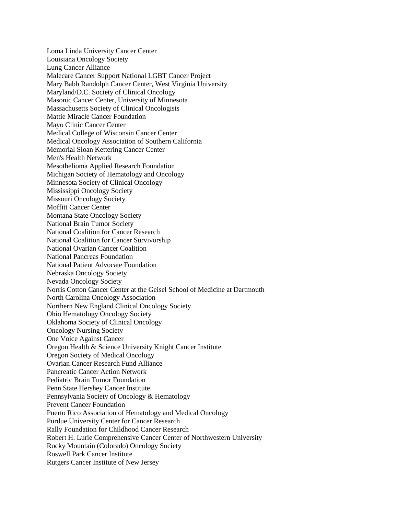Loma Linda University Cancer Center Louisiana Oncology Society Lung Cancer Alliance Malecare Cancer Support National LGBT Cancer Project Mary Babb Randolph Cancer Center, West Virginia University Maryland/D.C. Society of Clinical Oncology Masonic Cancer Center, University of Minnesota Massachusetts Society of Clinical Oncologists Mattie Miracle Cancer Foundation Mayo Clinic Cancer Center Medical College of Wisconsin Cancer Center Medical Oncology Association of Southern California Memorial Sloan Kettering Cancer Center Men's Health Network Mesothelioma Applied Research Foundation Michigan Society of Hematology and Oncology Minnesota Society of Clinical Oncology Mississippi Oncology Society Missouri Oncology Society Moffitt Cancer Center Montana State Oncology Society National Brain Tumor Society National Coalition for Cancer Research National Coalition for Cancer Survivorship National Ovarian Cancer Coalition National Pancreas Foundation National Patient Advocate Foundation Nebraska Oncology Society Nevada Oncology Society Norris Cotton Cancer Center at the Geisel School of Medicine at Dartmouth North Carolina Oncology Association Northern New England Clinical Oncology Society Ohio Hematology Oncology Society Oklahoma Society of Clinical Oncology Oncology Nursing Society One Voice Against Cancer Oregon Health & Science University Knight Cancer Institute Oregon Society of Medical Oncology Ovarian Cancer Research Fund Alliance Pancreatic Cancer Action Network Pediatric Brain Tumor Foundation Penn State Hershey Cancer Institute Pennsylvania Society of Oncology & Hematology Prevent Cancer Foundation Puerto Rico Association of Hematology and Medical Oncology Purdue University Center for Cancer Research Rally Foundation for Childhood Cancer Research Robert H. Lurie Comprehensive Cancer Center of Northwestern University Rocky Mountain (Colorado) Oncology Society Roswell Park Cancer Institute Rutgers Cancer Institute of New Jersey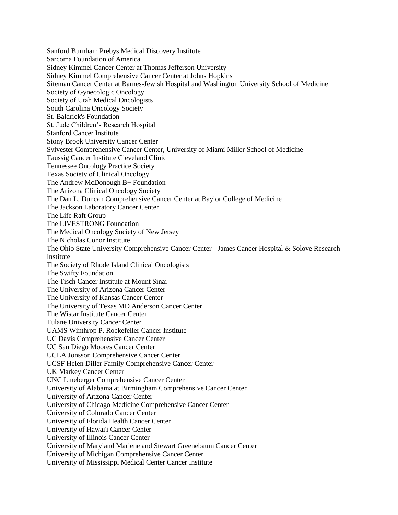Sanford Burnham Prebys Medical Discovery Institute Sarcoma Foundation of America Sidney Kimmel Cancer Center at Thomas Jefferson University Sidney Kimmel Comprehensive Cancer Center at Johns Hopkins Siteman Cancer Center at Barnes-Jewish Hospital and Washington University School of Medicine Society of Gynecologic Oncology Society of Utah Medical Oncologists South Carolina Oncology Society St. Baldrick's Foundation St. Jude Children's Research Hospital Stanford Cancer Institute Stony Brook University Cancer Center Sylvester Comprehensive Cancer Center, University of Miami Miller School of Medicine Taussig Cancer Institute Cleveland Clinic Tennessee Oncology Practice Society Texas Society of Clinical Oncology The Andrew McDonough B+ Foundation The Arizona Clinical Oncology Society The Dan L. Duncan Comprehensive Cancer Center at Baylor College of Medicine The Jackson Laboratory Cancer Center The Life Raft Group The LIVESTRONG Foundation The Medical Oncology Society of New Jersey The Nicholas Conor Institute The Ohio State University Comprehensive Cancer Center - James Cancer Hospital & Solove Research Institute The Society of Rhode Island Clinical Oncologists The Swifty Foundation The Tisch Cancer Institute at Mount Sinai The University of Arizona Cancer Center The University of Kansas Cancer Center The University of Texas MD Anderson Cancer Center The Wistar Institute Cancer Center Tulane University Cancer Center UAMS Winthrop P. Rockefeller Cancer Institute UC Davis Comprehensive Cancer Center UC San Diego Moores Cancer Center UCLA Jonsson Comprehensive Cancer Center UCSF Helen Diller Family Comprehensive Cancer Center UK Markey Cancer Center UNC Lineberger Comprehensive Cancer Center University of Alabama at Birmingham Comprehensive Cancer Center University of Arizona Cancer Center University of Chicago Medicine Comprehensive Cancer Center University of Colorado Cancer Center University of Florida Health Cancer Center University of Hawai'i Cancer Center University of Illinois Cancer Center University of Maryland Marlene and Stewart Greenebaum Cancer Center University of Michigan Comprehensive Cancer Center University of Mississippi Medical Center Cancer Institute